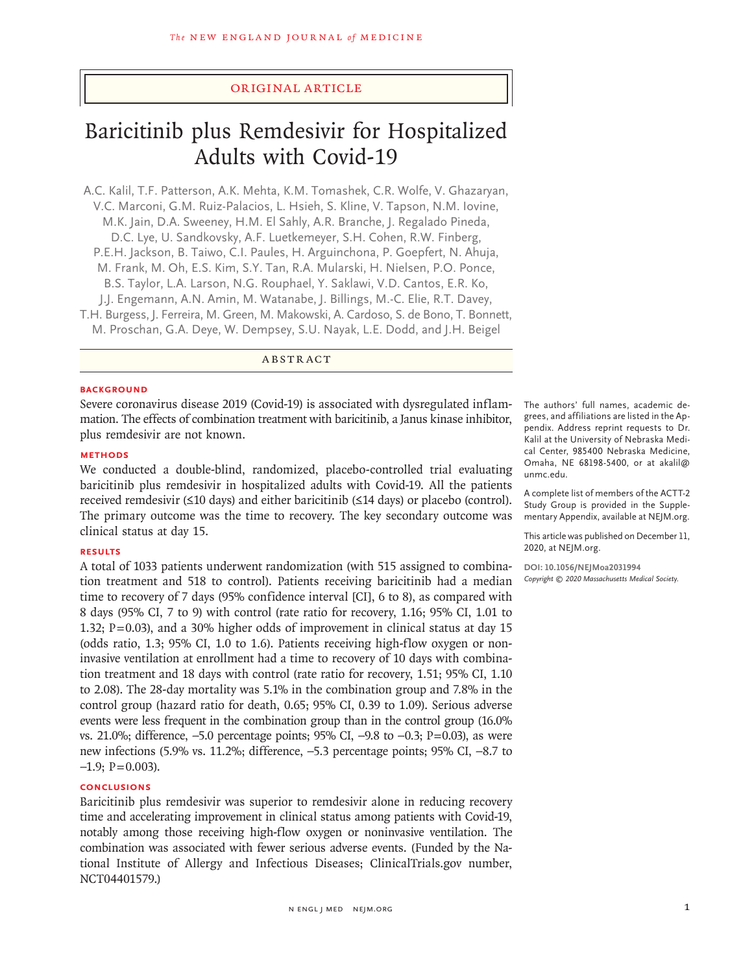# Original Article

# Baricitinib plus Remdesivir for Hospitalized Adults with Covid-19

A.C. Kalil, T.F. Patterson, A.K. Mehta, K.M. Tomashek, C.R. Wolfe, V. Ghazaryan, V.C. Marconi, G.M. Ruiz-Palacios, L. Hsieh, S. Kline, V. Tapson, N.M. Iovine, M.K. Jain, D.A. Sweeney, H.M. El Sahly, A.R. Branche, J. Regalado Pineda, D.C. Lye, U. Sandkovsky, A.F. Luetkemeyer, S.H. Cohen, R.W. Finberg, P.E.H. Jackson, B. Taiwo, C.I. Paules, H. Arguinchona, P. Goepfert, N. Ahuja, M. Frank, M. Oh, E.S. Kim, S.Y. Tan, R.A. Mularski, H. Nielsen, P.O. Ponce, B.S. Taylor, L.A. Larson, N.G. Rouphael, Y. Saklawi, V.D. Cantos, E.R. Ko, J.J. Engemann, A.N. Amin, M. Watanabe, J. Billings, M.-C. Elie, R.T. Davey, T.H. Burgess, J. Ferreira, M. Green, M. Makowski, A. Cardoso, S. de Bono, T. Bonnett, M. Proschan, G.A. Deye, W. Dempsey, S.U. Nayak, L.E. Dodd, and J.H. Beigel

ABSTRACT

### **BACKGROUND**

Severe coronavirus disease 2019 (Covid-19) is associated with dysregulated inflammation. The effects of combination treatment with baricitinib, a Janus kinase inhibitor, plus remdesivir are not known.

# **METHODS**

We conducted a double-blind, randomized, placebo-controlled trial evaluating baricitinib plus remdesivir in hospitalized adults with Covid-19. All the patients received remdesivir (≤10 days) and either baricitinib (≤14 days) or placebo (control). The primary outcome was the time to recovery. The key secondary outcome was clinical status at day 15.

## **RESULTS**

A total of 1033 patients underwent randomization (with 515 assigned to combination treatment and 518 to control). Patients receiving baricitinib had a median time to recovery of 7 days (95% confidence interval [CI], 6 to 8), as compared with 8 days (95% CI, 7 to 9) with control (rate ratio for recovery, 1.16; 95% CI, 1.01 to 1.32; P=0.03), and a 30% higher odds of improvement in clinical status at day 15 (odds ratio, 1.3; 95% CI, 1.0 to 1.6). Patients receiving high-flow oxygen or noninvasive ventilation at enrollment had a time to recovery of 10 days with combination treatment and 18 days with control (rate ratio for recovery, 1.51; 95% CI, 1.10 to 2.08). The 28-day mortality was 5.1% in the combination group and 7.8% in the control group (hazard ratio for death, 0.65; 95% CI, 0.39 to 1.09). Serious adverse events were less frequent in the combination group than in the control group (16.0% vs. 21.0%; difference, −5.0 percentage points; 95% CI, −9.8 to −0.3; P=0.03), as were new infections (5.9% vs. 11.2%; difference, −5.3 percentage points; 95% CI, −8.7 to  $-1.9$ ; P=0.003).

# **CONCLUSIONS**

Baricitinib plus remdesivir was superior to remdesivir alone in reducing recovery time and accelerating improvement in clinical status among patients with Covid-19, notably among those receiving high-flow oxygen or noninvasive ventilation. The combination was associated with fewer serious adverse events. (Funded by the National Institute of Allergy and Infectious Diseases; ClinicalTrials.gov number, [NCT04401579.](http://clinicaltrials.gov/show/NCT04401579))

The authors' full names, academic degrees, and affiliations are listed in the Appendix. Address reprint requests to Dr. Kalil at the University of Nebraska Medical Center, 985400 Nebraska Medicine, Omaha, NE 68198-5400, or at akalil@ unmc.edu.

A complete list of members of the ACTT-2 Study Group is provided in the Supplementary Appendix, available at NEJM.org.

This article was published on December 11, 2020, at NEJM.org.

**DOI: 10.1056/NEJMoa2031994** *Copyright © 2020 Massachusetts Medical Society.*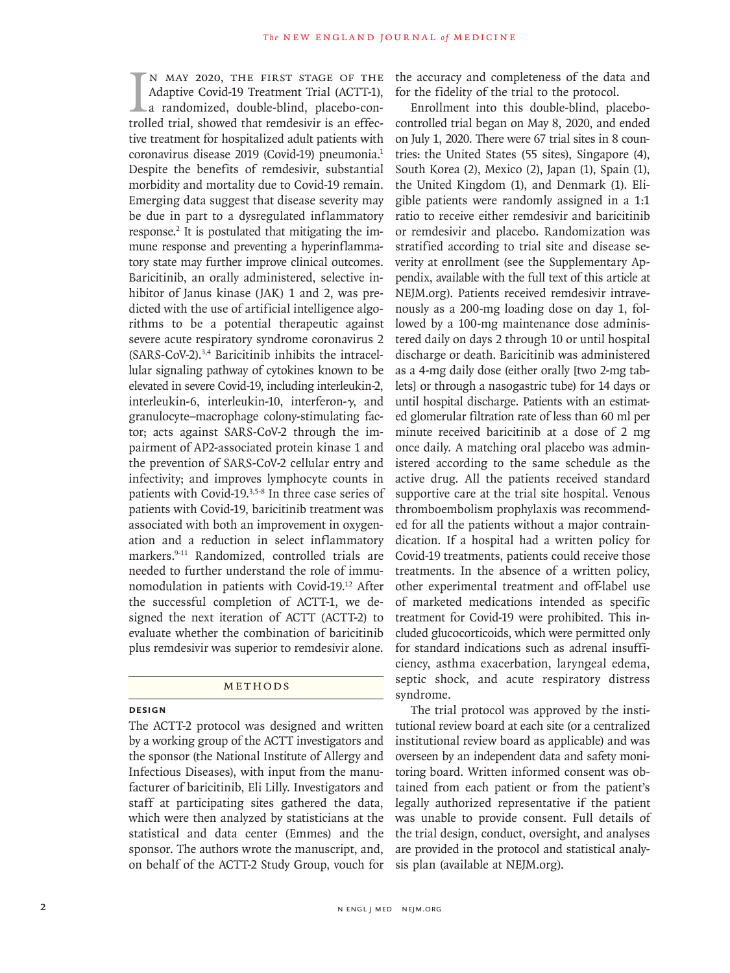I<sub>rol</sub> n May 2020, the first stage of the Adaptive Covid-19 Treatment Trial (ACTT-1), a randomized, double-blind, placebo-controlled trial, showed that remdesivir is an effective treatment for hospitalized adult patients with coronavirus disease 2019 (Covid-19) pneumonia.1 Despite the benefits of remdesivir, substantial morbidity and mortality due to Covid-19 remain. Emerging data suggest that disease severity may be due in part to a dysregulated inflammatory response.<sup>2</sup> It is postulated that mitigating the immune response and preventing a hyperinflammatory state may further improve clinical outcomes. Baricitinib, an orally administered, selective inhibitor of Janus kinase (JAK) 1 and 2, was predicted with the use of artificial intelligence algorithms to be a potential therapeutic against severe acute respiratory syndrome coronavirus 2 (SARS-CoV-2).3,4 Baricitinib inhibits the intracellular signaling pathway of cytokines known to be elevated in severe Covid-19, including interleukin-2, interleukin-6, interleukin-10, interferon-γ, and granulocyte–macrophage colony-stimulating factor; acts against SARS-CoV-2 through the impairment of AP2-associated protein kinase 1 and the prevention of SARS-CoV-2 cellular entry and infectivity; and improves lymphocyte counts in patients with Covid-19.3,5-8 In three case series of patients with Covid-19, baricitinib treatment was associated with both an improvement in oxygenation and a reduction in select inflammatory markers.<sup>9-11</sup> Randomized, controlled trials are needed to further understand the role of immunomodulation in patients with Covid-19.12 After the successful completion of ACTT-1, we designed the next iteration of ACTT (ACTT-2) to evaluate whether the combination of baricitinib plus remdesivir was superior to remdesivir alone.

#### Methods

# **Design**

The ACTT-2 protocol was designed and written by a working group of the ACTT investigators and the sponsor (the National Institute of Allergy and Infectious Diseases), with input from the manufacturer of baricitinib, Eli Lilly. Investigators and staff at participating sites gathered the data, which were then analyzed by statisticians at the statistical and data center (Emmes) and the sponsor. The authors wrote the manuscript, and, on behalf of the ACTT-2 Study Group, vouch for the accuracy and completeness of the data and for the fidelity of the trial to the protocol.

Enrollment into this double-blind, placebocontrolled trial began on May 8, 2020, and ended on July 1, 2020. There were 67 trial sites in 8 countries: the United States (55 sites), Singapore (4), South Korea (2), Mexico (2), Japan (1), Spain (1), the United Kingdom (1), and Denmark (1). Eligible patients were randomly assigned in a 1:1 ratio to receive either remdesivir and baricitinib or remdesivir and placebo. Randomization was stratified according to trial site and disease severity at enrollment (see the Supplementary Appendix, available with the full text of this article at NEJM.org). Patients received remdesivir intravenously as a 200-mg loading dose on day 1, followed by a 100-mg maintenance dose administered daily on days 2 through 10 or until hospital discharge or death. Baricitinib was administered as a 4-mg daily dose (either orally [two 2-mg tablets] or through a nasogastric tube) for 14 days or until hospital discharge. Patients with an estimated glomerular filtration rate of less than 60 ml per minute received baricitinib at a dose of 2 mg once daily. A matching oral placebo was administered according to the same schedule as the active drug. All the patients received standard supportive care at the trial site hospital. Venous thromboembolism prophylaxis was recommended for all the patients without a major contraindication. If a hospital had a written policy for Covid-19 treatments, patients could receive those treatments. In the absence of a written policy, other experimental treatment and off-label use of marketed medications intended as specific treatment for Covid-19 were prohibited. This included glucocorticoids, which were permitted only for standard indications such as adrenal insufficiency, asthma exacerbation, laryngeal edema, septic shock, and acute respiratory distress syndrome.

The trial protocol was approved by the institutional review board at each site (or a centralized institutional review board as applicable) and was overseen by an independent data and safety monitoring board. Written informed consent was obtained from each patient or from the patient's legally authorized representative if the patient was unable to provide consent. Full details of the trial design, conduct, oversight, and analyses are provided in the protocol and statistical analysis plan (available at NEJM.org).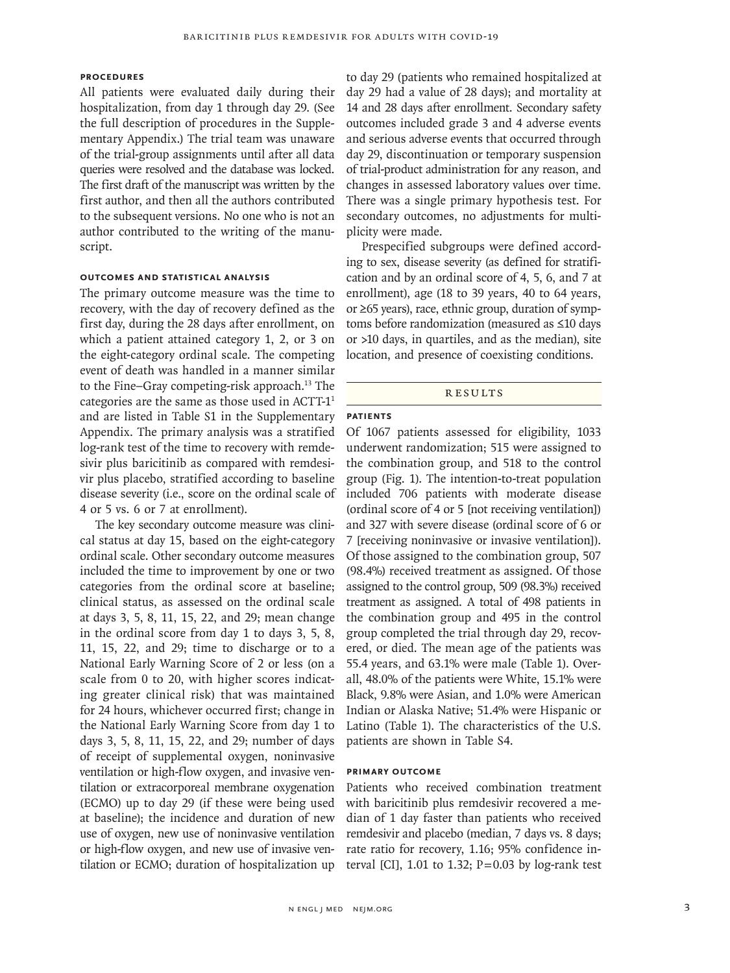# **Procedures**

All patients were evaluated daily during their hospitalization, from day 1 through day 29. (See the full description of procedures in the Supplementary Appendix.) The trial team was unaware of the trial-group assignments until after all data queries were resolved and the database was locked. The first draft of the manuscript was written by the first author, and then all the authors contributed to the subsequent versions. No one who is not an author contributed to the writing of the manuscript.

## **Outcomes and Statistical Analysis**

The primary outcome measure was the time to recovery, with the day of recovery defined as the first day, during the 28 days after enrollment, on which a patient attained category 1, 2, or 3 on the eight-category ordinal scale. The competing event of death was handled in a manner similar to the Fine–Gray competing-risk approach.<sup>13</sup> The categories are the same as those used in ACTT-11 and are listed in Table S1 in the Supplementary Appendix. The primary analysis was a stratified log-rank test of the time to recovery with remdesivir plus baricitinib as compared with remdesivir plus placebo, stratified according to baseline disease severity (i.e., score on the ordinal scale of 4 or 5 vs. 6 or 7 at enrollment).

The key secondary outcome measure was clinical status at day 15, based on the eight-category ordinal scale. Other secondary outcome measures included the time to improvement by one or two categories from the ordinal score at baseline; clinical status, as assessed on the ordinal scale at days 3, 5, 8, 11, 15, 22, and 29; mean change in the ordinal score from day 1 to days 3, 5, 8, 11, 15, 22, and 29; time to discharge or to a National Early Warning Score of 2 or less (on a scale from 0 to 20, with higher scores indicating greater clinical risk) that was maintained for 24 hours, whichever occurred first; change in the National Early Warning Score from day 1 to days 3, 5, 8, 11, 15, 22, and 29; number of days of receipt of supplemental oxygen, noninvasive ventilation or high-flow oxygen, and invasive ventilation or extracorporeal membrane oxygenation (ECMO) up to day 29 (if these were being used at baseline); the incidence and duration of new use of oxygen, new use of noninvasive ventilation or high-flow oxygen, and new use of invasive ventilation or ECMO; duration of hospitalization up to day 29 (patients who remained hospitalized at day 29 had a value of 28 days); and mortality at 14 and 28 days after enrollment. Secondary safety outcomes included grade 3 and 4 adverse events and serious adverse events that occurred through day 29, discontinuation or temporary suspension of trial-product administration for any reason, and changes in assessed laboratory values over time. There was a single primary hypothesis test. For secondary outcomes, no adjustments for multiplicity were made.

Prespecified subgroups were defined according to sex, disease severity (as defined for stratification and by an ordinal score of 4, 5, 6, and 7 at enrollment), age (18 to 39 years, 40 to 64 years, or ≥65 years), race, ethnic group, duration of symptoms before randomization (measured as ≤10 days or >10 days, in quartiles, and as the median), site location, and presence of coexisting conditions.

## **RESULTS**

# **Patients**

Of 1067 patients assessed for eligibility, 1033 underwent randomization; 515 were assigned to the combination group, and 518 to the control group (Fig. 1). The intention-to-treat population included 706 patients with moderate disease (ordinal score of 4 or 5 [not receiving ventilation]) and 327 with severe disease (ordinal score of 6 or 7 [receiving noninvasive or invasive ventilation]). Of those assigned to the combination group, 507 (98.4%) received treatment as assigned. Of those assigned to the control group, 509 (98.3%) received treatment as assigned. A total of 498 patients in the combination group and 495 in the control group completed the trial through day 29, recovered, or died. The mean age of the patients was 55.4 years, and 63.1% were male (Table 1). Overall, 48.0% of the patients were White, 15.1% were Black, 9.8% were Asian, and 1.0% were American Indian or Alaska Native; 51.4% were Hispanic or Latino (Table 1). The characteristics of the U.S. patients are shown in Table S4.

# **Primary Outcome**

Patients who received combination treatment with baricitinib plus remdesivir recovered a median of 1 day faster than patients who received remdesivir and placebo (median, 7 days vs. 8 days; rate ratio for recovery, 1.16; 95% confidence interval [CI],  $1.01$  to  $1.32$ ;  $P=0.03$  by log-rank test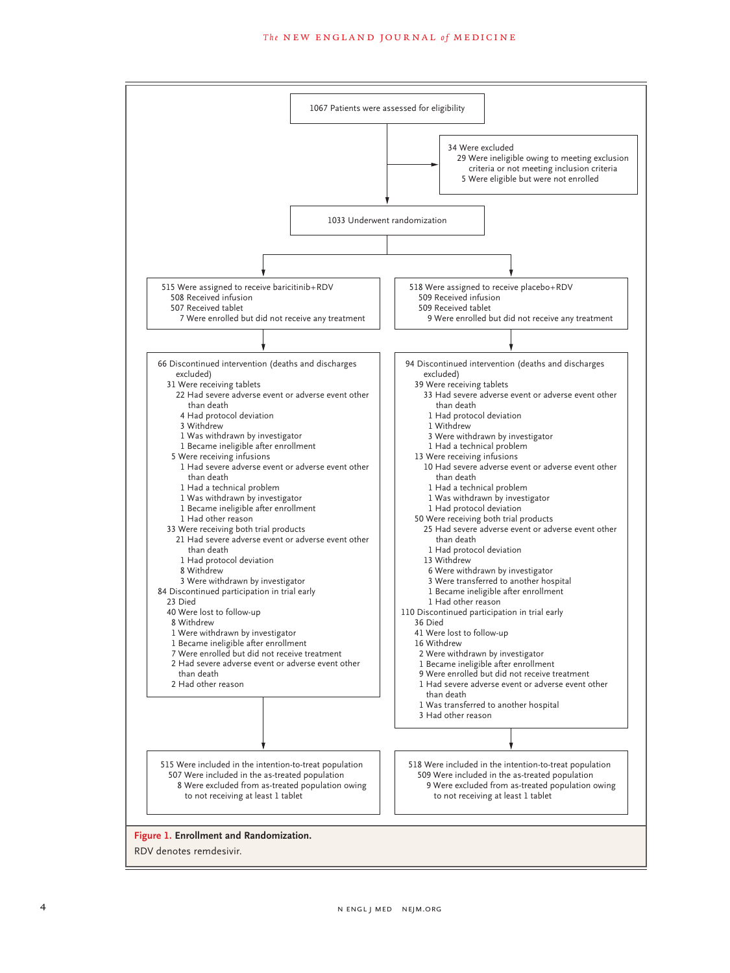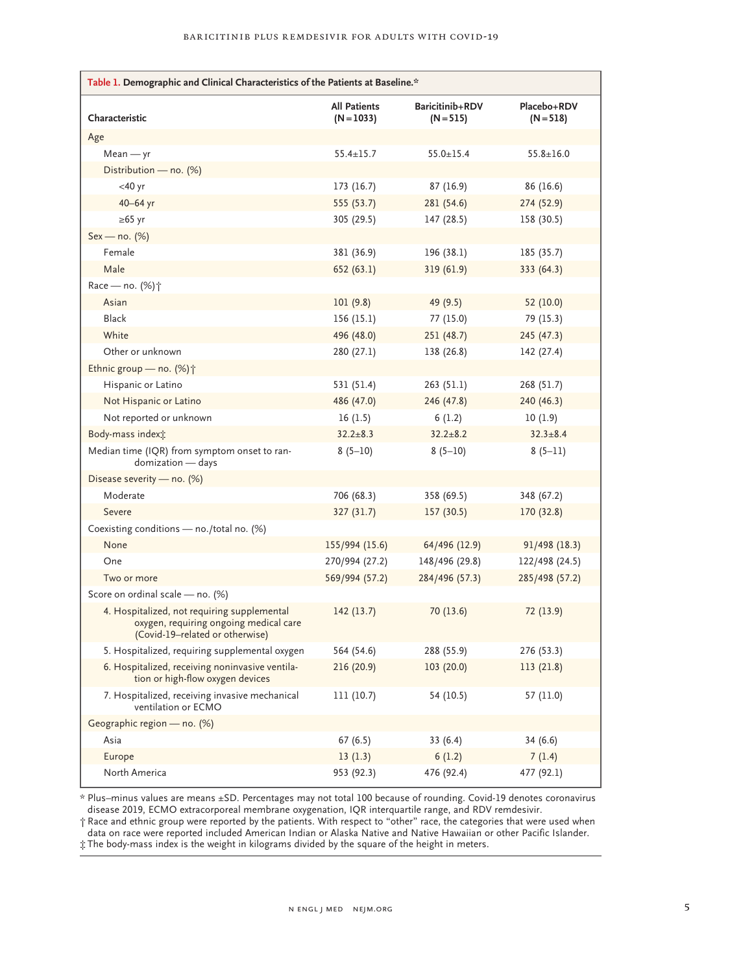| Table 1. Demographic and Clinical Characteristics of the Patients at Baseline.*                                          |                                     |                                |                            |  |  |
|--------------------------------------------------------------------------------------------------------------------------|-------------------------------------|--------------------------------|----------------------------|--|--|
| Characteristic                                                                                                           | <b>All Patients</b><br>$(N = 1033)$ | Baricitinib+RDV<br>$(N = 515)$ | Placebo+RDV<br>$(N = 518)$ |  |  |
| Age                                                                                                                      |                                     |                                |                            |  |  |
| $Mean - yr$                                                                                                              | $55.4 + 15.7$                       | $55.0 \pm 15.4$                | $55.8 \pm 16.0$            |  |  |
| Distribution - no. (%)                                                                                                   |                                     |                                |                            |  |  |
| $<$ 40 yr                                                                                                                | 173 (16.7)                          | 87 (16.9)                      | 86 (16.6)                  |  |  |
| 40-64 yr                                                                                                                 | 555 (53.7)                          | 281(54.6)                      | 274 (52.9)                 |  |  |
| $\geq 65$ yr                                                                                                             | 305 (29.5)                          | 147(28.5)                      | 158 (30.5)                 |  |  |
| $Sex - no. (%)$                                                                                                          |                                     |                                |                            |  |  |
| Female                                                                                                                   | 381 (36.9)                          | 196(38.1)                      | 185 (35.7)                 |  |  |
| Male                                                                                                                     | 652(63.1)                           | 319 (61.9)                     | 333(64.3)                  |  |  |
| Race - no. (%) <sup>+</sup>                                                                                              |                                     |                                |                            |  |  |
| Asian                                                                                                                    | 101(9.8)                            | 49 (9.5)                       | 52(10.0)                   |  |  |
| <b>Black</b>                                                                                                             | 156(15.1)                           | 77(15.0)                       | 79 (15.3)                  |  |  |
| White                                                                                                                    | 496 (48.0)                          | 251(48.7)                      | 245 (47.3)                 |  |  |
| Other or unknown                                                                                                         | 280 (27.1)                          | 138 (26.8)                     | 142 (27.4)                 |  |  |
| Ethnic group - no. (%) <sup>+</sup>                                                                                      |                                     |                                |                            |  |  |
| Hispanic or Latino                                                                                                       | 531 (51.4)                          | 263(51.1)                      | 268 (51.7)                 |  |  |
| Not Hispanic or Latino                                                                                                   | 486 (47.0)                          | 246 (47.8)                     | 240 (46.3)                 |  |  |
| Not reported or unknown                                                                                                  | 16(1.5)                             | 6(1.2)                         | 10(1.9)                    |  |  |
| Body-mass index;                                                                                                         | $32.2 \pm 8.3$                      | $32.2 + 8.2$                   | $32.3 + 8.4$               |  |  |
| Median time (IQR) from symptom onset to ran-<br>domization - days                                                        | $8(5-10)$                           | $8(5-10)$                      | $8(5-11)$                  |  |  |
| Disease severity - no. (%)                                                                                               |                                     |                                |                            |  |  |
| Moderate                                                                                                                 | 706 (68.3)                          | 358 (69.5)                     | 348 (67.2)                 |  |  |
| Severe                                                                                                                   | 327 (31.7)                          | 157(30.5)                      | 170 (32.8)                 |  |  |
| Coexisting conditions - no./total no. (%)                                                                                |                                     |                                |                            |  |  |
| None                                                                                                                     | 155/994 (15.6)                      | 64/496 (12.9)                  | 91/498 (18.3)              |  |  |
| One                                                                                                                      | 270/994 (27.2)                      | 148/496 (29.8)                 | 122/498 (24.5)             |  |  |
| Two or more                                                                                                              | 569/994 (57.2)                      | 284/496 (57.3)                 | 285/498 (57.2)             |  |  |
| Score on ordinal scale - no. (%)                                                                                         |                                     |                                |                            |  |  |
| 4. Hospitalized, not requiring supplemental<br>oxygen, requiring ongoing medical care<br>(Covid-19-related or otherwise) | 142(13.7)                           | 70 (13.6)                      | 72 (13.9)                  |  |  |
| 5. Hospitalized, requiring supplemental oxygen                                                                           | 564 (54.6)                          | 288 (55.9)                     | 276 (53.3)                 |  |  |
| 6. Hospitalized, receiving noninvasive ventila-<br>tion or high-flow oxygen devices                                      | 216 (20.9)                          | 103 (20.0)                     | 113 (21.8)                 |  |  |
| 7. Hospitalized, receiving invasive mechanical<br>ventilation or ECMO                                                    | 111(10.7)                           | 54 (10.5)                      | 57 (11.0)                  |  |  |
| Geographic region - no. (%)                                                                                              |                                     |                                |                            |  |  |
| Asia                                                                                                                     | 67(6.5)                             | 33(6.4)                        | 34 (6.6)                   |  |  |
| Europe                                                                                                                   | 13(1.3)                             | 6(1.2)                         | 7(1.4)                     |  |  |
| North America                                                                                                            | 953 (92.3)                          | 476 (92.4)                     | 477 (92.1)                 |  |  |

\* Plus–minus values are means ±SD. Percentages may not total 100 because of rounding. Covid-19 denotes coronavirus disease 2019, ECMO extracorporeal membrane oxygenation, IQR interquartile range, and RDV remdesivir.

† Race and ethnic group were reported by the patients. With respect to "other" race, the categories that were used when data on race were reported included American Indian or Alaska Native and Native Hawaiian or other Pacific Islander. ‡ The body-mass index is the weight in kilograms divided by the square of the height in meters.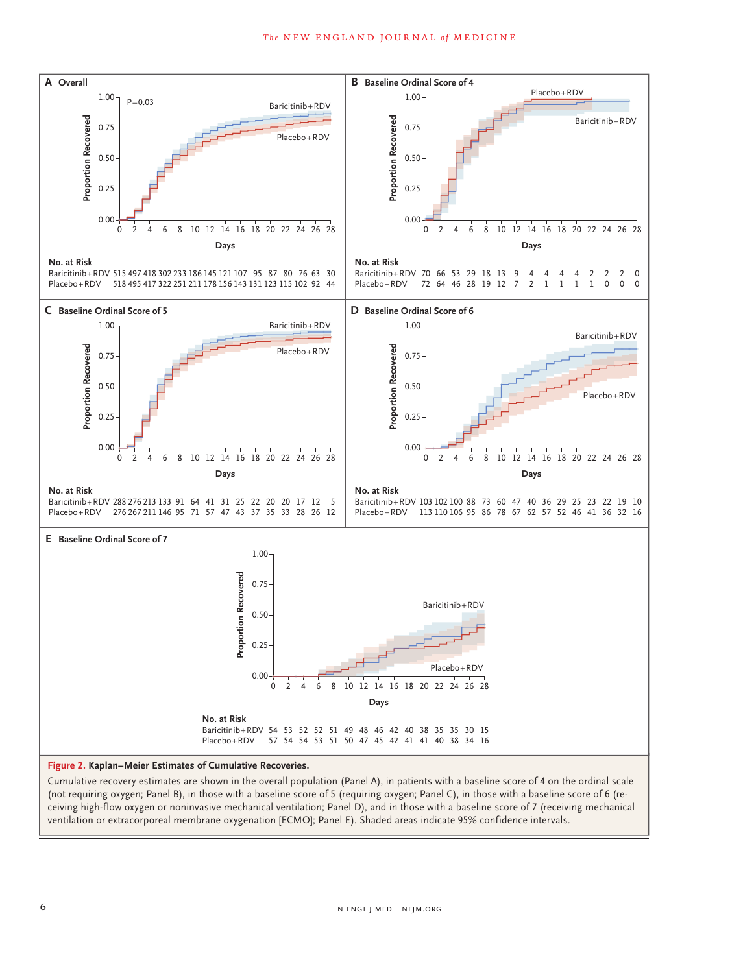

Cumulative recovery estimates are shown in the overall population (Panel A), in patients with a baseline score of 4 on the ordinal scale (not requiring oxygen; Panel B), in those with a baseline score of 5 (requiring oxygen; Panel C), in those with a baseline score of 6 (receiving high-flow oxygen or noninvasive mechanical ventilation; Panel D), and in those with a baseline score of 7 (receiving mechanical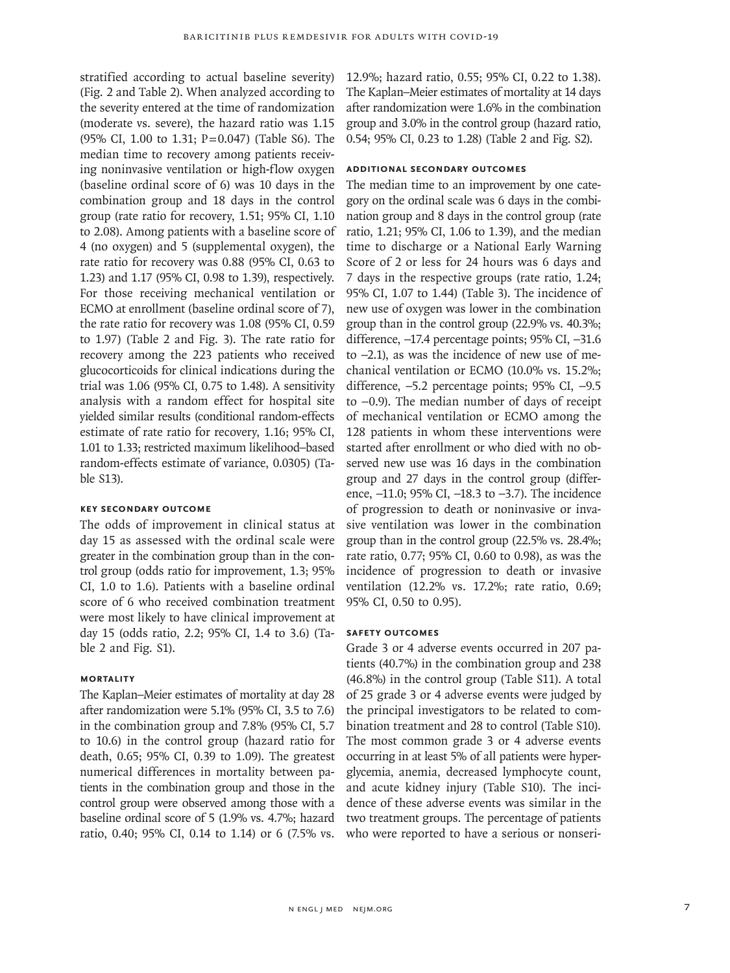stratified according to actual baseline severity) (Fig. 2 and Table 2). When analyzed according to the severity entered at the time of randomization (moderate vs. severe), the hazard ratio was 1.15 (95% CI, 1.00 to 1.31; P=0.047) (Table S6). The median time to recovery among patients receiving noninvasive ventilation or high-flow oxygen (baseline ordinal score of 6) was 10 days in the combination group and 18 days in the control group (rate ratio for recovery, 1.51; 95% CI, 1.10 to 2.08). Among patients with a baseline score of 4 (no oxygen) and 5 (supplemental oxygen), the rate ratio for recovery was 0.88 (95% CI, 0.63 to 1.23) and 1.17 (95% CI, 0.98 to 1.39), respectively. For those receiving mechanical ventilation or ECMO at enrollment (baseline ordinal score of 7), the rate ratio for recovery was 1.08 (95% CI, 0.59 to 1.97) (Table 2 and Fig. 3). The rate ratio for recovery among the 223 patients who received glucocorticoids for clinical indications during the trial was 1.06 (95% CI, 0.75 to 1.48). A sensitivity analysis with a random effect for hospital site yielded similar results (conditional random-effects estimate of rate ratio for recovery, 1.16; 95% CI, 1.01 to 1.33; restricted maximum likelihood–based random-effects estimate of variance, 0.0305) (Table S13).

# **Key Secondary Outcome**

The odds of improvement in clinical status at day 15 as assessed with the ordinal scale were greater in the combination group than in the control group (odds ratio for improvement, 1.3; 95% CI, 1.0 to 1.6). Patients with a baseline ordinal score of 6 who received combination treatment were most likely to have clinical improvement at day 15 (odds ratio, 2.2; 95% CI, 1.4 to 3.6) (Table 2 and Fig. S1).

# **Mortality**

The Kaplan–Meier estimates of mortality at day 28 after randomization were 5.1% (95% CI, 3.5 to 7.6) in the combination group and 7.8% (95% CI, 5.7 to 10.6) in the control group (hazard ratio for death, 0.65; 95% CI, 0.39 to 1.09). The greatest numerical differences in mortality between patients in the combination group and those in the control group were observed among those with a baseline ordinal score of 5 (1.9% vs. 4.7%; hazard ratio, 0.40; 95% CI, 0.14 to 1.14) or 6 (7.5% vs.

12.9%; hazard ratio, 0.55; 95% CI, 0.22 to 1.38). The Kaplan–Meier estimates of mortality at 14 days after randomization were 1.6% in the combination group and 3.0% in the control group (hazard ratio, 0.54; 95% CI, 0.23 to 1.28) (Table 2 and Fig. S2).

## **Additional Secondary Outcomes**

The median time to an improvement by one category on the ordinal scale was 6 days in the combination group and 8 days in the control group (rate ratio, 1.21; 95% CI, 1.06 to 1.39), and the median time to discharge or a National Early Warning Score of 2 or less for 24 hours was 6 days and 7 days in the respective groups (rate ratio, 1.24; 95% CI, 1.07 to 1.44) (Table 3). The incidence of new use of oxygen was lower in the combination group than in the control group (22.9% vs. 40.3%; difference, −17.4 percentage points; 95% CI, −31.6 to −2.1), as was the incidence of new use of mechanical ventilation or ECMO (10.0% vs. 15.2%; difference, −5.2 percentage points; 95% CI, −9.5 to −0.9). The median number of days of receipt of mechanical ventilation or ECMO among the 128 patients in whom these interventions were started after enrollment or who died with no observed new use was 16 days in the combination group and 27 days in the control group (difference, −11.0; 95% CI, −18.3 to −3.7). The incidence of progression to death or noninvasive or invasive ventilation was lower in the combination group than in the control group (22.5% vs. 28.4%; rate ratio, 0.77; 95% CI, 0.60 to 0.98), as was the incidence of progression to death or invasive ventilation (12.2% vs. 17.2%; rate ratio, 0.69; 95% CI, 0.50 to 0.95).

## **Safety Outcomes**

Grade 3 or 4 adverse events occurred in 207 patients (40.7%) in the combination group and 238 (46.8%) in the control group (Table S11). A total of 25 grade 3 or 4 adverse events were judged by the principal investigators to be related to combination treatment and 28 to control (Table S10). The most common grade 3 or 4 adverse events occurring in at least 5% of all patients were hyperglycemia, anemia, decreased lymphocyte count, and acute kidney injury (Table S10). The incidence of these adverse events was similar in the two treatment groups. The percentage of patients who were reported to have a serious or nonseri-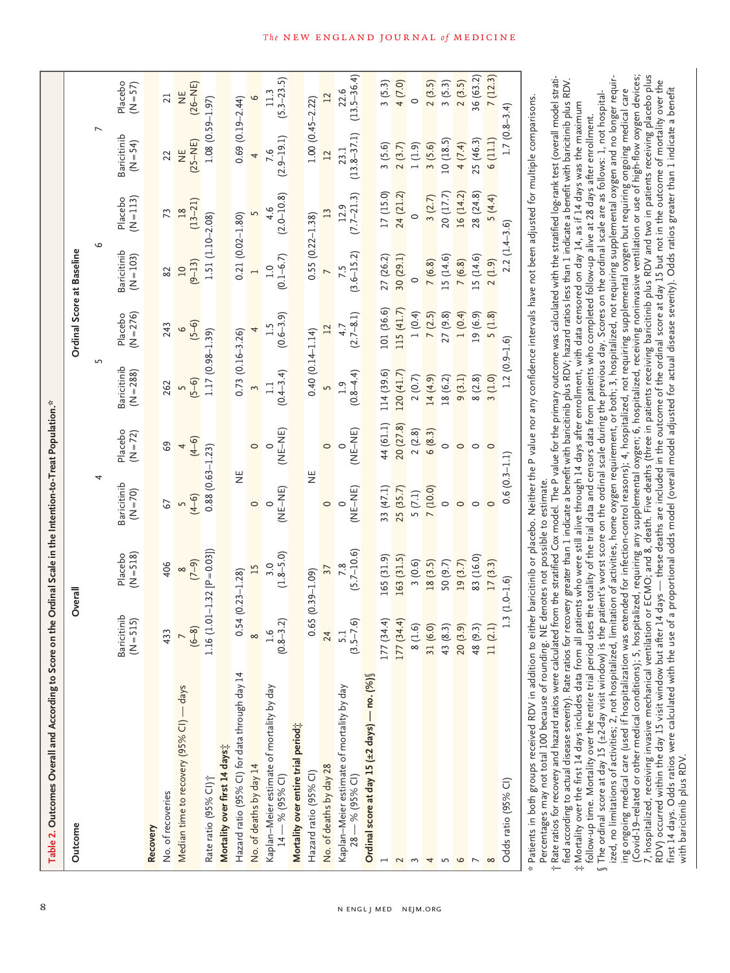| Table 2. Outcomes Overall and According to Score on the Ordinal Scale in the Intention-to-Treat Population."                                                                                    |                            |                             |                           |                       |                                   |                           |                                   |                        |                                  |                             |
|-------------------------------------------------------------------------------------------------------------------------------------------------------------------------------------------------|----------------------------|-----------------------------|---------------------------|-----------------------|-----------------------------------|---------------------------|-----------------------------------|------------------------|----------------------------------|-----------------------------|
| Outcome                                                                                                                                                                                         |                            | Overall                     |                           |                       |                                   | Ordinal Score at Baseline |                                   |                        |                                  |                             |
|                                                                                                                                                                                                 |                            |                             |                           |                       | 5                                 |                           | G                                 |                        |                                  |                             |
|                                                                                                                                                                                                 | Baricitinib<br>$(N = 515)$ | $(N = 518)$<br>Placebo      | Baricitinib<br>$(N = 70)$ | Placebo<br>$(N = 72)$ | <b>Baricitinib</b><br>$(N = 288)$ | $N = 276$<br>Placebo      | <b>Baricitinib</b><br>$(N = 103)$ | $(N = 113)$<br>Placebo | <b>Baricitinib</b><br>$(N = 54)$ | Placebo<br>$(N = 57)$       |
| Recovery                                                                                                                                                                                        |                            |                             |                           |                       |                                   |                           |                                   |                        |                                  |                             |
| No. of recoveries                                                                                                                                                                               | 433                        | 406                         | 67                        | 69                    | 262                               | 243                       | 82                                |                        | 22                               | 21                          |
| Median time to recovery (95% CI) — days                                                                                                                                                         | $(6 - 8)$                  | $(7-9)$<br>$\infty$         | $(4 - 6)$<br>5            | $(4 - 6)$<br>4        | $(5 - 6)$<br>S                    | $(5-6)$<br>$\circ$        | $(9 - 13)$<br>$\overline{a}$      | $(13 - 21)$<br>18      | $(25-NE)$<br>$\overline{z}$      | $(26-NE)$<br>$\overline{z}$ |
| Rate ratio (95% Cl) <sup>+</sup>                                                                                                                                                                |                            | $16(1.01 - 1.32[P = 0.03])$ | $0.88(0.63 - 1.23)$       |                       | 1.17 (0.98-1.39)                  |                           | $1.51(1.10 - 2.08)$               |                        | $1.08(0.59 - 1.97)$              |                             |
| Mortality over first 14 days :                                                                                                                                                                  |                            |                             |                           |                       |                                   |                           |                                   |                        |                                  |                             |
| Hazard ratio (95% Cl) for data through day 14                                                                                                                                                   |                            | $0.54(0.23 - 1.28)$         | Ψ                         |                       | $0.73(0.16 - 3.26)$               |                           | $0.21(0.02 - 1.80)$               |                        | $0.69(0.19 - 2.44)$              |                             |
| No. of deaths by day 14                                                                                                                                                                         | $\infty$                   | 15                          | $\circ$                   | $\circ$               | $\tilde{3}$                       |                           |                                   | 5                      | 4                                | $\circ$                     |
| Kaplan-Meier estimate of mortality by day<br>$14 - %$ (95% CI)                                                                                                                                  | $.8 - 3.2$<br>1.6          | $(1.8 - 5.0)$<br>3.0        | (NE-NE)<br>$\circ$        | (NE-NE)               | $(0.4 - 3.4)$<br>$\Xi$            | $(0.6 - 3.9)$             | $(0.1 - 6.7)$<br>$\overline{0}$   | $(2.0 - 10.8)$<br>4.6  | $(2.9 - 19.1)$<br>7.6            | $(5.3 - 23.5)$<br>11.3      |
| Mortality over entire trial period;                                                                                                                                                             |                            |                             |                           |                       |                                   |                           |                                   |                        |                                  |                             |
| Hazard ratio (95% CI)                                                                                                                                                                           |                            | $0.65(0.39 - 1.09)$         | $\frac{11}{2}$            |                       | $0.40(0.14-1.14)$                 |                           | $0.55(0.22 - 1.38)$               |                        | $1.00(0.45 - 2.22)$              |                             |
| No. of deaths by day 28                                                                                                                                                                         | 24                         | 37                          | 0                         |                       | $\overline{5}$                    | 12                        |                                   | $\overline{13}$        | $\overline{12}$                  | 12                          |
| Kaplan-Meier estimate of mortality by day<br>$28 - %$ (95% CI)                                                                                                                                  | $.5 - 7.6$<br>5.1          | $(5.7 - 10.6)$<br>7.8       | (NE-NE)<br>$\circ$        | (NE-NE)<br>$\circ$    | $(0.8 - 4.4)$<br>$\frac{9}{1}$    | $(2.7 - 8.1)$<br>4.7      | $(3.6 - 15.2)$<br>7.5             | $(7.7 - 21.3)$<br>12.9 | $(13.8 - 37.1)$<br>23.1          | $(13.5 - 36.4)$<br>22.6     |
| Ordinal score at day 15 $(\pm 2 \text{ days})$ - no. $(%)$                                                                                                                                      |                            |                             |                           |                       |                                   |                           |                                   |                        |                                  |                             |
|                                                                                                                                                                                                 | 177(34.4)                  | 165(31.9)                   | 33(47.1)                  | 44 (61.1)             | 114(39.6)                         | 101 (36.6)                | 27 (26.2)                         | 17 (15.0)              | 3(5.6)                           | 3(5.3)                      |
|                                                                                                                                                                                                 | 177(34.4)                  | 163(31.5)                   | 25 (35.7)                 | 20 (27.8)             | 120(41.7)                         | 115(41.7)                 | 30(29.1)                          | 24 (21.2)              | 2(3.7)                           | 4(7.0)                      |
|                                                                                                                                                                                                 | 8(1.6)                     | 3(0.6)                      | 5(7.1)                    | 2(2.8)                | 2(0.7)                            | 1(0.4)                    | $\circ$                           | $\circ$                | (6.1)1                           | $\circ$                     |
|                                                                                                                                                                                                 | 31 (6.0)                   | 18(3.5)                     | 7(10.0)                   | 6(8.3)                | 14 (4.9)                          | 7(2.5)                    | 7(6.8)                            | 3(2.7)                 | 3(5.6)                           | 2(3.5)                      |
|                                                                                                                                                                                                 | 43 (8.3)                   | 50 (9.7)                    | 0                         | $\circ$               | 18 (6.2)                          | 27(9.8)                   | 15 (14.6)                         | 20 (17.7)              | 10(18.5)                         | 3(5.3)                      |
|                                                                                                                                                                                                 | 20(3.9)                    | 19(3.7)                     |                           | 0                     | 9(3.1)                            | 1(0.4)                    | 7(6.8)                            | 16 (14.2)              | 4(7.4)                           | 2(3.5)                      |
|                                                                                                                                                                                                 | 48 (9.3)                   | 83 (16.0)                   | 0                         | 0                     | 8(2.8)                            | 19 (6.9)                  | 15 (14.6)                         | 28 (24.8)              | 25 (46.3)                        | 36 (63.2)                   |
|                                                                                                                                                                                                 | (2.1)                      | 17(3.3)                     |                           | $\circ$               | 3(1.0)                            | 5(1.8)                    | 2(1.9)                            | 5(4.4)                 | 6(11.1)                          | 7(12.3)                     |
| Odds ratio (95% CI)                                                                                                                                                                             |                            | $1.3(1.0-1.6)$              | $0.6(0.3 - 1.1)$          |                       | $1.2(0.9 - 1.6)$                  |                           | $2.2(1.4-3.6)$                    |                        | $1.7(0.8-3.4)$                   |                             |
| Patients in both groups received RDV in addition to either baricitinib or placebo. Neither the P value nor any confidence intervals have not been adjusted for multiple comparisons.<br>:اممسیت | $\sim$ NIE de              |                             |                           |                       |                                   |                           |                                   |                        |                                  |                             |

Percentages may not total 100 because of rounding. NE denotes not possible to estimate.

†

‡

§

(Covid-19–related or other medical conditions); 5, hospitalized, requiring any supplemental oxygen; 6, hospitalized, receiving noninvasive ventilation or use of high-flow oxygen devices; 7, hospitalized, receiving invasive mechanical ventilation or ECMO; and 8, death. Five deaths (three in patients receiving baricitinib plus RDV and two in patients receiving placebo plus 7, hospitalized, receiving invasive mechanical ventilation or ECMO; and 8, death. Five deaths (three in patients receiving baricitinib plus RDV and two in patients receiving placebo plus The ordinal score at day 15 (±2-day visit window) is the patient's worst score on the ordinal scale during the previous day. Scores on the ordinal scale are as follows: 1, not hospital-<br>ized, no limitations of activities; (Covid-19-related or other medical conditions); 5, hospitalized, requiring any supplemental oxygen; 6, hospitalized, receiving noninvasive ventilation or use of high-flow oxygen devices; Percentages may not total 100 because of rounding. NE denotes not possible to estimate.<br>Rate ratios for recovery and hazard ratios were calculated from the stratified Cox model. The P value for the primary outcome was calc ized, no limitations of activities; 2, not hospitalized, limitation of activities, home oxygen requirement, or both; 3, hospitalized, not requiring supplemental oxygen and no longer requir- $\dot{r}$  Rate ratios for recovery and hazard ratios were calculated from the stratified Cox model. The P value for the primary outcome was calculated with the stratified log-rank test (overall model stratified according to actual disease severity). Rate ratios for recovery greater than 1 indicate a benefit with baricitinib plus RDV; hazard ratios less than 1 indicate a benefit with baricitinib plus RDV. RDV) occurred within the day 15 visit window but after 14 days — these deaths are included in the outcome of the ordinal score at day 15 but not in the outcome of mortality over the RDV) occurred within the day 15 visit window but after 14 days — these deaths are included in the outcome of the ordinal score at day 15 but not in the outcome of mortality over the fied according to actual disease severity). Rate ratios for recovery greater than 1 indicate a benefit with baricitinib plus RDV; hazard ratios less than 1 indicate a benefit with baricitinib plus RDV. first 14 days. Odds ratios were calculated with the use of a proportional odds model (overall model adjusted for actual disease severity). Odds ratios greater than 1 indicate a benefit first 14 days. Odds ratios were calculated with the use of a proportional odds model (overall model adjusted for actual disease severity). Odds ratios greater than 1 indicate a benefit ing ongoing medical care (used if hospitalization was extended for infection-control reasons); 4, hospitalized, not requiring supplemental oxygen but requiring ongoing medical care ing ongoing medical care (used if hospitalization was extended for infection-control reasons); 4, hospitalized, not requiring supplemental oxygen but requiring ongoing medical care  $\int$  The ordinal score at day 15 (±2-day visit window) is the patient's worst score on the ordinal gala  $\bar{b}$  are as follows: 1, not hospital- Mortality over the first 14 days includes data from all patients who were still alive through 14 days after enrollment, with data censored on day 14, as if 14 days was the maximum Mortality over the first 14 days includes data from all patients who were still alive through 14 days after enrollment, with data censored on day 14, as if 14 days was the maximum follow-up time. Mortality over the entire trial period uses the totality of the trial data and censors data from patients who completed follow-up alive at 28 days after enrollment. follow-up time. Mortality over the entire trial period uses the totality of the trial data and censors data from patients who completed follow-up alive at 28 days after enrollment. with baricitinib plus RDV. with baricitinib plus RDV.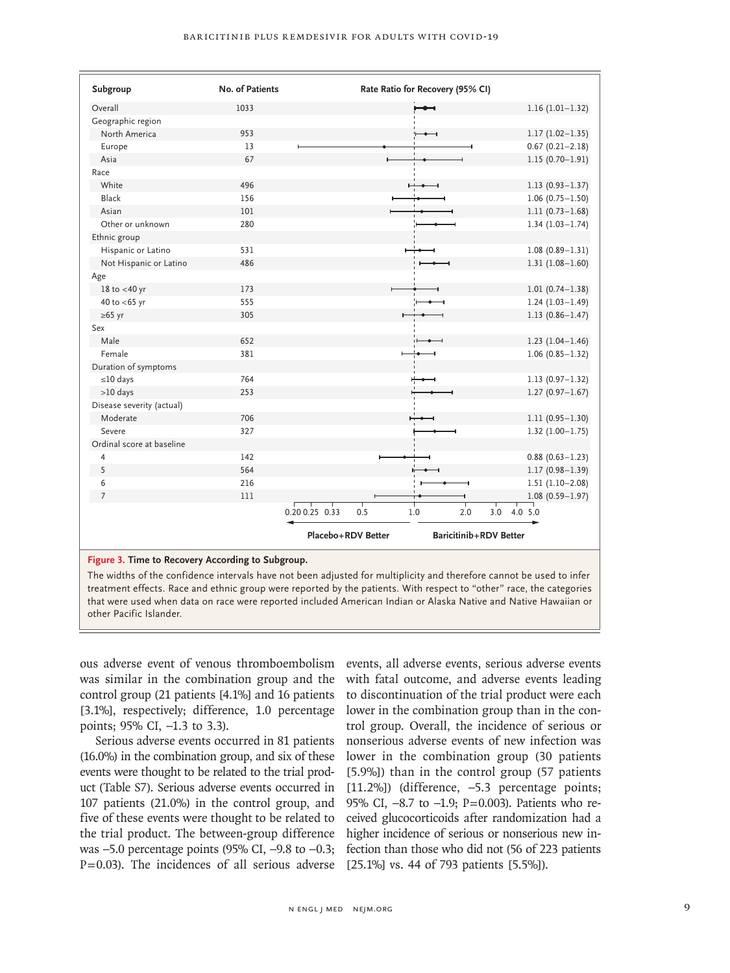| Overall<br>1033<br>Geographic region<br>North America<br>953<br>13<br>Europe<br>67<br>Asia<br>Race<br>White<br>496<br>Black<br>156<br>Asian<br>101<br>Other or unknown<br>280<br>Ethnic group<br>Hispanic or Latino<br>531<br>Not Hispanic or Latino<br>486<br>Age<br>18 to $<$ 40 yr<br>173<br>555<br>40 to $<$ 65 yr<br>$\geq 65$ yr<br>305<br>Sex<br>652<br>Male<br>Female<br>381<br>Duration of symptoms<br>$\leq$ 10 days<br>764<br>$>10$ days<br>253<br>Disease severity (actual)<br>Moderate<br>706<br>Severe<br>327<br>Ordinal score at baseline<br>142<br>4<br>5<br>564 |                |                   | $1.16(1.01-1.32)$<br>$1.17(1.02 - 1.35)$<br>$0.67(0.21 - 2.18)$<br>$1.15(0.70 - 1.91)$<br>$1.13(0.93 - 1.37)$<br>$1.06(0.75 - 1.50)$<br>$1.11(0.73 - 1.68)$<br>$1.34(1.03 - 1.74)$<br>$1.08(0.89 - 1.31)$<br>$1.31(1.08-1.60)$ |
|----------------------------------------------------------------------------------------------------------------------------------------------------------------------------------------------------------------------------------------------------------------------------------------------------------------------------------------------------------------------------------------------------------------------------------------------------------------------------------------------------------------------------------------------------------------------------------|----------------|-------------------|--------------------------------------------------------------------------------------------------------------------------------------------------------------------------------------------------------------------------------|
|                                                                                                                                                                                                                                                                                                                                                                                                                                                                                                                                                                                  |                |                   |                                                                                                                                                                                                                                |
|                                                                                                                                                                                                                                                                                                                                                                                                                                                                                                                                                                                  |                |                   |                                                                                                                                                                                                                                |
|                                                                                                                                                                                                                                                                                                                                                                                                                                                                                                                                                                                  |                |                   |                                                                                                                                                                                                                                |
|                                                                                                                                                                                                                                                                                                                                                                                                                                                                                                                                                                                  |                |                   |                                                                                                                                                                                                                                |
|                                                                                                                                                                                                                                                                                                                                                                                                                                                                                                                                                                                  |                |                   |                                                                                                                                                                                                                                |
|                                                                                                                                                                                                                                                                                                                                                                                                                                                                                                                                                                                  |                |                   |                                                                                                                                                                                                                                |
|                                                                                                                                                                                                                                                                                                                                                                                                                                                                                                                                                                                  |                |                   |                                                                                                                                                                                                                                |
|                                                                                                                                                                                                                                                                                                                                                                                                                                                                                                                                                                                  |                |                   |                                                                                                                                                                                                                                |
|                                                                                                                                                                                                                                                                                                                                                                                                                                                                                                                                                                                  |                |                   |                                                                                                                                                                                                                                |
|                                                                                                                                                                                                                                                                                                                                                                                                                                                                                                                                                                                  |                |                   |                                                                                                                                                                                                                                |
|                                                                                                                                                                                                                                                                                                                                                                                                                                                                                                                                                                                  |                |                   |                                                                                                                                                                                                                                |
|                                                                                                                                                                                                                                                                                                                                                                                                                                                                                                                                                                                  |                |                   |                                                                                                                                                                                                                                |
|                                                                                                                                                                                                                                                                                                                                                                                                                                                                                                                                                                                  |                |                   |                                                                                                                                                                                                                                |
|                                                                                                                                                                                                                                                                                                                                                                                                                                                                                                                                                                                  |                |                   |                                                                                                                                                                                                                                |
|                                                                                                                                                                                                                                                                                                                                                                                                                                                                                                                                                                                  |                |                   | $1.01(0.74 - 1.38)$                                                                                                                                                                                                            |
|                                                                                                                                                                                                                                                                                                                                                                                                                                                                                                                                                                                  |                |                   | $1.24(1.03 - 1.49)$                                                                                                                                                                                                            |
|                                                                                                                                                                                                                                                                                                                                                                                                                                                                                                                                                                                  |                |                   | $1.13(0.86 - 1.47)$                                                                                                                                                                                                            |
|                                                                                                                                                                                                                                                                                                                                                                                                                                                                                                                                                                                  |                |                   |                                                                                                                                                                                                                                |
|                                                                                                                                                                                                                                                                                                                                                                                                                                                                                                                                                                                  |                |                   | $1.23(1.04-1.46)$                                                                                                                                                                                                              |
|                                                                                                                                                                                                                                                                                                                                                                                                                                                                                                                                                                                  |                |                   | $1.06(0.85 - 1.32)$                                                                                                                                                                                                            |
|                                                                                                                                                                                                                                                                                                                                                                                                                                                                                                                                                                                  |                |                   |                                                                                                                                                                                                                                |
|                                                                                                                                                                                                                                                                                                                                                                                                                                                                                                                                                                                  |                |                   | $1.13(0.97 - 1.32)$                                                                                                                                                                                                            |
|                                                                                                                                                                                                                                                                                                                                                                                                                                                                                                                                                                                  |                |                   | $1.27(0.97 - 1.67)$                                                                                                                                                                                                            |
|                                                                                                                                                                                                                                                                                                                                                                                                                                                                                                                                                                                  |                |                   |                                                                                                                                                                                                                                |
|                                                                                                                                                                                                                                                                                                                                                                                                                                                                                                                                                                                  |                |                   | $1.11(0.95 - 1.30)$                                                                                                                                                                                                            |
|                                                                                                                                                                                                                                                                                                                                                                                                                                                                                                                                                                                  |                |                   | $1.32(1.00-1.75)$                                                                                                                                                                                                              |
|                                                                                                                                                                                                                                                                                                                                                                                                                                                                                                                                                                                  |                |                   |                                                                                                                                                                                                                                |
|                                                                                                                                                                                                                                                                                                                                                                                                                                                                                                                                                                                  |                |                   | $0.88(0.63 - 1.23)$                                                                                                                                                                                                            |
|                                                                                                                                                                                                                                                                                                                                                                                                                                                                                                                                                                                  |                |                   | $1.17(0.98 - 1.39)$                                                                                                                                                                                                            |
| 6<br>216                                                                                                                                                                                                                                                                                                                                                                                                                                                                                                                                                                         |                |                   | $1.51(1.10-2.08)$                                                                                                                                                                                                              |
| 7<br>111                                                                                                                                                                                                                                                                                                                                                                                                                                                                                                                                                                         |                |                   | $1.08(0.59 - 1.97)$                                                                                                                                                                                                            |
|                                                                                                                                                                                                                                                                                                                                                                                                                                                                                                                                                                                  |                |                   | 3.0<br>4.0 5.0                                                                                                                                                                                                                 |
|                                                                                                                                                                                                                                                                                                                                                                                                                                                                                                                                                                                  | 0.20 0.25 0.33 | 0.5<br>1.0<br>2.0 |                                                                                                                                                                                                                                |

The widths of the confidence intervals have not been adjusted for multiplicity and therefore cannot be used to infer treatment effects. Race and ethnic group were reported by the patients. With respect to "other" race, the categories that were used when data on race were reported included American Indian or Alaska Native and Native Hawaiian or other Pacific Islander.

was similar in the combination group and the control group (21 patients [4.1%] and 16 patients [3.1%], respectively; difference, 1.0 percentage points; 95% CI, -1.3 to 3.3).

Serious adverse events occurred in 81 patients (16.0%) in the combination group, and six of these events were thought to be related to the trial product (Table S7). Serious adverse events occurred in 107 patients (21.0%) in the control group, and five of these events were thought to be related to the trial product. The between-group difference was −5.0 percentage points (95% CI, −9.8 to −0.3; P=0.03). The incidences of all serious adverse [25.1%] vs. 44 of 793 patients [5.5%]).

ous adverse event of venous thromboembolism events, all adverse events, serious adverse events with fatal outcome, and adverse events leading to discontinuation of the trial product were each lower in the combination group than in the control group. Overall, the incidence of serious or nonserious adverse events of new infection was lower in the combination group (30 patients [5.9%]) than in the control group (57 patients [11.2%]) (difference, -5.3 percentage points; 95% CI, −8.7 to −1.9; P=0.003). Patients who received glucocorticoids after randomization had a higher incidence of serious or nonserious new infection than those who did not (56 of 223 patients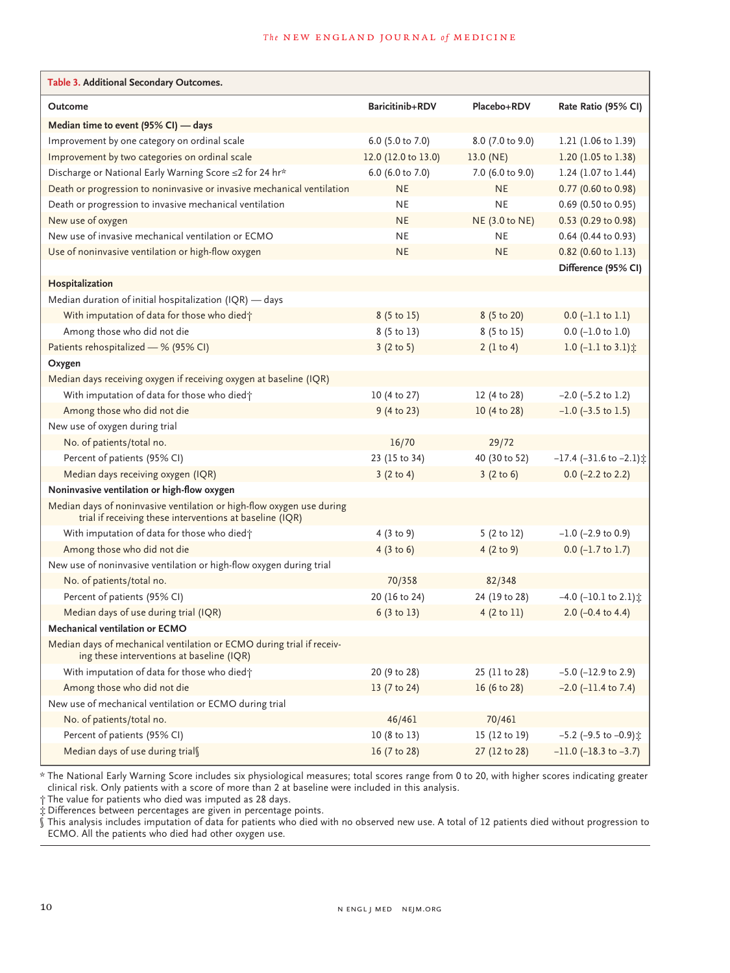## **The NEW ENGLAND JOURNAL of MEDICINE**

| Table 3. Additional Secondary Outcomes.                                                                                           |                        |                  |                                     |
|-----------------------------------------------------------------------------------------------------------------------------------|------------------------|------------------|-------------------------------------|
| Outcome                                                                                                                           | <b>Baricitinib+RDV</b> | Placebo+RDV      | Rate Ratio (95% CI)                 |
| Median time to event (95% CI) - days                                                                                              |                        |                  |                                     |
| Improvement by one category on ordinal scale                                                                                      | 6.0 (5.0 to 7.0)       | 8.0 (7.0 to 9.0) | 1.21 (1.06 to 1.39)                 |
| Improvement by two categories on ordinal scale                                                                                    | 12.0 (12.0 to 13.0)    | 13.0 (NE)        | 1.20 (1.05 to 1.38)                 |
| Discharge or National Early Warning Score ≤2 for 24 hr*                                                                           | 6.0 (6.0 to 7.0)       | 7.0 (6.0 to 9.0) | 1.24 (1.07 to 1.44)                 |
| Death or progression to noninvasive or invasive mechanical ventilation                                                            | <b>NE</b>              | <b>NE</b>        | 0.77 (0.60 to 0.98)                 |
| Death or progression to invasive mechanical ventilation                                                                           | <b>NE</b>              | <b>NE</b>        | 0.69 (0.50 to 0.95)                 |
| New use of oxygen                                                                                                                 | <b>NE</b>              | NE (3.0 to NE)   | 0.53 (0.29 to 0.98)                 |
| New use of invasive mechanical ventilation or ECMO                                                                                | <b>NE</b>              | NE               | 0.64 (0.44 to 0.93)                 |
| Use of noninvasive ventilation or high-flow oxygen                                                                                | <b>NE</b>              | <b>NE</b>        | $0.82$ (0.60 to 1.13)               |
|                                                                                                                                   |                        |                  | Difference (95% CI)                 |
| Hospitalization                                                                                                                   |                        |                  |                                     |
| Median duration of initial hospitalization (IQR) - days                                                                           |                        |                  |                                     |
| With imputation of data for those who died;                                                                                       | 8 (5 to 15)            | 8 (5 to 20)      | $0.0$ (-1.1 to 1.1)                 |
| Among those who did not die                                                                                                       | 8 (5 to 13)            | 8 (5 to 15)      | $0.0$ (-1.0 to 1.0)                 |
| Patients rehospitalized - % (95% CI)                                                                                              | 3(2 to 5)              | 2(1 to 4)        | 1.0 $(-1.1 \text{ to } 3.1)$ :      |
| Oxygen                                                                                                                            |                        |                  |                                     |
| Median days receiving oxygen if receiving oxygen at baseline (IQR)                                                                |                        |                  |                                     |
| With imputation of data for those who died;                                                                                       | 10 (4 to 27)           | 12 (4 to 28)     | $-2.0$ ( $-5.2$ to 1.2)             |
| Among those who did not die                                                                                                       | 9 (4 to 23)            | 10 (4 to 28)     | $-1.0$ ( $-3.5$ to 1.5)             |
| New use of oxygen during trial                                                                                                    |                        |                  |                                     |
| No. of patients/total no.                                                                                                         | 16/70                  | 29/72            |                                     |
| Percent of patients (95% CI)                                                                                                      | 23 (15 to 34)          | 40 (30 to 52)    | $-17.4$ (-31.6 to -2.1) $\ddagger$  |
| Median days receiving oxygen (IQR)                                                                                                | $3(2 \text{ to } 4)$   | 3(2 to 6)        | $0.0$ (-2.2 to 2.2)                 |
| Noninvasive ventilation or high-flow oxygen                                                                                       |                        |                  |                                     |
| Median days of noninvasive ventilation or high-flow oxygen use during<br>trial if receiving these interventions at baseline (IQR) |                        |                  |                                     |
| With imputation of data for those who died;                                                                                       | 4(3 to 9)              | 5 (2 to 12)      | $-1.0$ (-2.9 to 0.9)                |
| Among those who did not die                                                                                                       | 4(3 to 6)              | 4 $(2 to 9)$     | $0.0$ (-1.7 to 1.7)                 |
| New use of noninvasive ventilation or high-flow oxygen during trial                                                               |                        |                  |                                     |
| No. of patients/total no.                                                                                                         | 70/358                 | 82/348           |                                     |
| Percent of patients (95% CI)                                                                                                      | 20 (16 to 24)          | 24 (19 to 28)    | $-4.0$ (-10.1 to 2.1) $\hat{x}$     |
| Median days of use during trial (IQR)                                                                                             | 6 (3 to 13)            | 4(2 to 11)       | 2.0 $(-0.4 \text{ to } 4.4)$        |
| Mechanical ventilation or ECMO                                                                                                    |                        |                  |                                     |
| Median days of mechanical ventilation or ECMO during trial if receiv-<br>ing these interventions at baseline (IQR)                |                        |                  |                                     |
| With imputation of data for those who died;                                                                                       | 20 (9 to 28)           | 25 (11 to 28)    | $-5.0$ (-12.9 to 2.9)               |
| Among those who did not die                                                                                                       | 13 (7 to 24)           | 16 (6 to 28)     | $-2.0$ ( $-11.4$ to 7.4)            |
| New use of mechanical ventilation or ECMO during trial                                                                            |                        |                  |                                     |
| No. of patients/total no.                                                                                                         | 46/461                 | 70/461           |                                     |
| Percent of patients (95% CI)                                                                                                      | 10 (8 to 13)           | 15 (12 to 19)    | $-5.2$ (-9.5 to $-0.9$ ) $\ddagger$ |
| Median days of use during trials                                                                                                  | 16 (7 to 28)           | 27 (12 to 28)    | $-11.0$ (-18.3 to -3.7)             |

\* The National Early Warning Score includes six physiological measures; total scores range from 0 to 20, with higher scores indicating greater clinical risk. Only patients with a score of more than 2 at baseline were included in this analysis.

† The value for patients who died was imputed as 28 days.

‡ Differences between percentages are given in percentage points.

§ This analysis includes imputation of data for patients who died with no observed new use. A total of 12 patients died without progression to ECMO. All the patients who died had other oxygen use.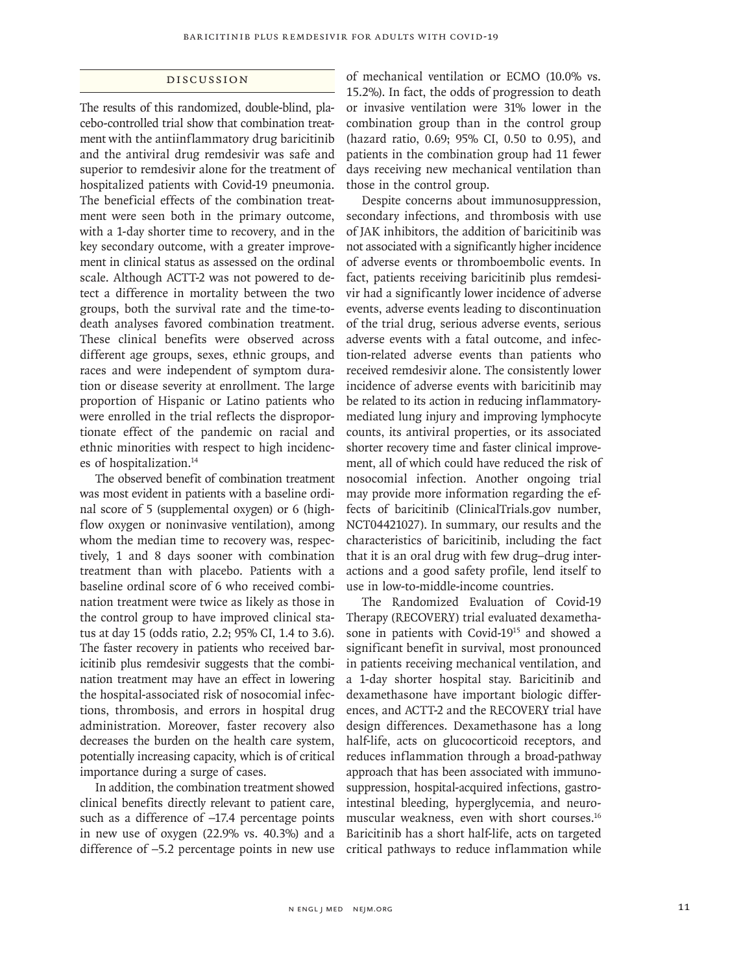## Discussion

The results of this randomized, double-blind, placebo-controlled trial show that combination treatment with the antiinflammatory drug baricitinib and the antiviral drug remdesivir was safe and superior to remdesivir alone for the treatment of hospitalized patients with Covid-19 pneumonia. The beneficial effects of the combination treatment were seen both in the primary outcome, with a 1-day shorter time to recovery, and in the key secondary outcome, with a greater improvement in clinical status as assessed on the ordinal scale. Although ACTT-2 was not powered to detect a difference in mortality between the two groups, both the survival rate and the time-todeath analyses favored combination treatment. These clinical benefits were observed across different age groups, sexes, ethnic groups, and races and were independent of symptom duration or disease severity at enrollment. The large proportion of Hispanic or Latino patients who were enrolled in the trial reflects the disproportionate effect of the pandemic on racial and ethnic minorities with respect to high incidences of hospitalization.14

The observed benefit of combination treatment was most evident in patients with a baseline ordinal score of 5 (supplemental oxygen) or 6 (highflow oxygen or noninvasive ventilation), among whom the median time to recovery was, respectively, 1 and 8 days sooner with combination treatment than with placebo. Patients with a baseline ordinal score of 6 who received combination treatment were twice as likely as those in the control group to have improved clinical status at day 15 (odds ratio, 2.2; 95% CI, 1.4 to 3.6). The faster recovery in patients who received baricitinib plus remdesivir suggests that the combination treatment may have an effect in lowering the hospital-associated risk of nosocomial infections, thrombosis, and errors in hospital drug administration. Moreover, faster recovery also decreases the burden on the health care system, potentially increasing capacity, which is of critical importance during a surge of cases.

In addition, the combination treatment showed clinical benefits directly relevant to patient care, such as a difference of −17.4 percentage points in new use of oxygen (22.9% vs. 40.3%) and a difference of −5.2 percentage points in new use of mechanical ventilation or ECMO (10.0% vs. 15.2%). In fact, the odds of progression to death or invasive ventilation were 31% lower in the combination group than in the control group (hazard ratio, 0.69; 95% CI, 0.50 to 0.95), and patients in the combination group had 11 fewer days receiving new mechanical ventilation than those in the control group.

Despite concerns about immunosuppression, secondary infections, and thrombosis with use of JAK inhibitors, the addition of baricitinib was not associated with a significantly higher incidence of adverse events or thromboembolic events. In fact, patients receiving baricitinib plus remdesivir had a significantly lower incidence of adverse events, adverse events leading to discontinuation of the trial drug, serious adverse events, serious adverse events with a fatal outcome, and infection-related adverse events than patients who received remdesivir alone. The consistently lower incidence of adverse events with baricitinib may be related to its action in reducing inflammatorymediated lung injury and improving lymphocyte counts, its antiviral properties, or its associated shorter recovery time and faster clinical improvement, all of which could have reduced the risk of nosocomial infection. Another ongoing trial may provide more information regarding the effects of baricitinib (ClinicalTrials.gov number, [NCT04421027](http://clinicaltrials.gov/show/NCT04421027)). In summary, our results and the characteristics of baricitinib, including the fact that it is an oral drug with few drug–drug interactions and a good safety profile, lend itself to use in low-to-middle-income countries.

The Randomized Evaluation of Covid-19 Therapy (RECOVERY) trial evaluated dexamethasone in patients with Covid-1915 and showed a significant benefit in survival, most pronounced in patients receiving mechanical ventilation, and a 1-day shorter hospital stay. Baricitinib and dexamethasone have important biologic differences, and ACTT-2 and the RECOVERY trial have design differences. Dexamethasone has a long half-life, acts on glucocorticoid receptors, and reduces inflammation through a broad-pathway approach that has been associated with immunosuppression, hospital-acquired infections, gastrointestinal bleeding, hyperglycemia, and neuromuscular weakness, even with short courses.16 Baricitinib has a short half-life, acts on targeted critical pathways to reduce inflammation while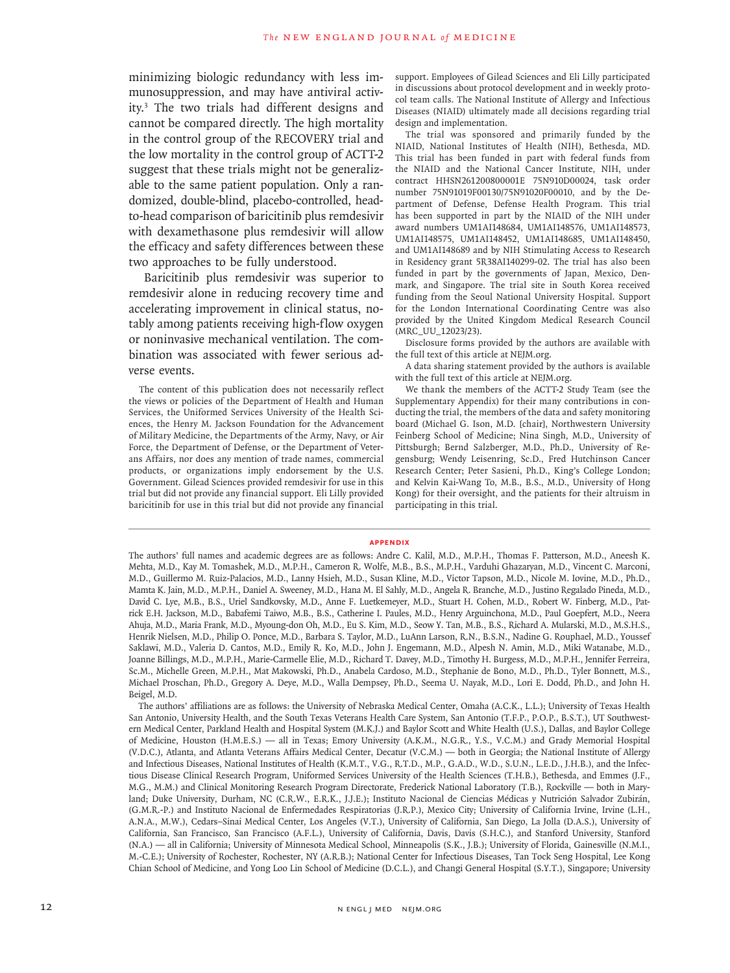minimizing biologic redundancy with less immunosuppression, and may have antiviral activity.3 The two trials had different designs and cannot be compared directly. The high mortality in the control group of the RECOVERY trial and the low mortality in the control group of ACTT-2 suggest that these trials might not be generalizable to the same patient population. Only a randomized, double-blind, placebo-controlled, headto-head comparison of baricitinib plus remdesivir with dexamethasone plus remdesivir will allow the efficacy and safety differences between these two approaches to be fully understood.

Baricitinib plus remdesivir was superior to remdesivir alone in reducing recovery time and accelerating improvement in clinical status, notably among patients receiving high-flow oxygen or noninvasive mechanical ventilation. The combination was associated with fewer serious adverse events.

The content of this publication does not necessarily reflect the views or policies of the Department of Health and Human Services, the Uniformed Services University of the Health Sciences, the Henry M. Jackson Foundation for the Advancement of Military Medicine, the Departments of the Army, Navy, or Air Force, the Department of Defense, or the Department of Veterans Affairs, nor does any mention of trade names, commercial products, or organizations imply endorsement by the U.S. Government. Gilead Sciences provided remdesivir for use in this trial but did not provide any financial support. Eli Lilly provided baricitinib for use in this trial but did not provide any financial

support. Employees of Gilead Sciences and Eli Lilly participated in discussions about protocol development and in weekly protocol team calls. The National Institute of Allergy and Infectious Diseases (NIAID) ultimately made all decisions regarding trial design and implementation.

The trial was sponsored and primarily funded by the NIAID, National Institutes of Health (NIH), Bethesda, MD. This trial has been funded in part with federal funds from the NIAID and the National Cancer Institute, NIH, under contract HHSN261200800001E 75N910D00024, task order number 75N91019F00130/75N91020F00010, and by the Department of Defense, Defense Health Program. This trial has been supported in part by the NIAID of the NIH under award numbers UM1AI148684, UM1AI148576, UM1AI148573, UM1AI148575, UM1AI148452, UM1AI148685, UM1AI148450, and UM1AI148689 and by NIH Stimulating Access to Research in Residency grant 5R38AI140299-02. The trial has also been funded in part by the governments of Japan, Mexico, Denmark, and Singapore. The trial site in South Korea received funding from the Seoul National University Hospital. Support for the London International Coordinating Centre was also provided by the United Kingdom Medical Research Council (MRC\_UU\_12023/23).

Disclosure forms provided by the authors are available with the full text of this article at NEJM.org.

A data sharing statement provided by the authors is available with the full text of this article at NEJM.org.

We thank the members of the ACTT-2 Study Team (see the Supplementary Appendix) for their many contributions in conducting the trial, the members of the data and safety monitoring board (Michael G. Ison, M.D. [chair], Northwestern University Feinberg School of Medicine; Nina Singh, M.D., University of Pittsburgh; Bernd Salzberger, M.D., Ph.D., University of Regensburg; Wendy Leisenring, Sc.D., Fred Hutchinson Cancer Research Center; Peter Sasieni, Ph.D., King's College London; and Kelvin Kai-Wang To, M.B., B.S., M.D., University of Hong Kong) for their oversight, and the patients for their altruism in participating in this trial.

#### **Appendix**

The authors' full names and academic degrees are as follows: Andre C. Kalil, M.D., M.P.H., Thomas F. Patterson, M.D., Aneesh K. Mehta, M.D., Kay M. Tomashek, M.D., M.P.H., Cameron R. Wolfe, M.B., B.S., M.P.H., Varduhi Ghazaryan, M.D., Vincent C. Marconi, M.D., Guillermo M. Ruiz-Palacios, M.D., Lanny Hsieh, M.D., Susan Kline, M.D., Victor Tapson, M.D., Nicole M. Iovine, M.D., Ph.D., Mamta K. Jain, M.D., M.P.H., Daniel A. Sweeney, M.D., Hana M. El Sahly, M.D., Angela R. Branche, M.D., Justino Regalado Pineda, M.D., David C. Lye, M.B., B.S., Uriel Sandkovsky, M.D., Anne F. Luetkemeyer, M.D., Stuart H. Cohen, M.D., Robert W. Finberg, M.D., Patrick E.H. Jackson, M.D., Babafemi Taiwo, M.B., B.S., Catherine I. Paules, M.D., Henry Arguinchona, M.D., Paul Goepfert, M.D., Neera Ahuja, M.D., Maria Frank, M.D., Myoung-don Oh, M.D., Eu S. Kim, M.D., Seow Y. Tan, M.B., B.S., Richard A. Mularski, M.D., M.S.H.S., Henrik Nielsen, M.D., Philip O. Ponce, M.D., Barbara S. Taylor, M.D., LuAnn Larson, R.N., B.S.N., Nadine G. Rouphael, M.D., Youssef Saklawi, M.D., Valeria D. Cantos, M.D., Emily R. Ko, M.D., John J. Engemann, M.D., Alpesh N. Amin, M.D., Miki Watanabe, M.D., Joanne Billings, M.D., M.P.H., Marie-Carmelle Elie, M.D., Richard T. Davey, M.D., Timothy H. Burgess, M.D., M.P.H., Jennifer Ferreira, Sc.M., Michelle Green, M.P.H., Mat Makowski, Ph.D., Anabela Cardoso, M.D., Stephanie de Bono, M.D., Ph.D., Tyler Bonnett, M.S., Michael Proschan, Ph.D., Gregory A. Deye, M.D., Walla Dempsey, Ph.D., Seema U. Nayak, M.D., Lori E. Dodd, Ph.D., and John H. Beigel, M.D.

The authors' affiliations are as follows: the University of Nebraska Medical Center, Omaha (A.C.K., L.L.); University of Texas Health San Antonio, University Health, and the South Texas Veterans Health Care System, San Antonio (T.F.P., P.O.P., B.S.T.), UT Southwestern Medical Center, Parkland Health and Hospital System (M.K.J.) and Baylor Scott and White Health (U.S.), Dallas, and Baylor College of Medicine, Houston (H.M.E.S.) — all in Texas; Emory University (A.K.M., N.G.R., Y.S., V.C.M.) and Grady Memorial Hospital (V.D.C.), Atlanta, and Atlanta Veterans Affairs Medical Center, Decatur (V.C.M.) — both in Georgia; the National Institute of Allergy and Infectious Diseases, National Institutes of Health (K.M.T., V.G., R.T.D., M.P., G.A.D., W.D., S.U.N., L.E.D., J.H.B.), and the Infectious Disease Clinical Research Program, Uniformed Services University of the Health Sciences (T.H.B.), Bethesda, and Emmes (J.F., M.G., M.M.) and Clinical Monitoring Research Program Directorate, Frederick National Laboratory (T.B.), Rockville — both in Maryland; Duke University, Durham, NC (C.R.W., E.R.K., J.J.E.); Instituto Nacional de Ciencias Médicas y Nutrición Salvador Zubirán, (G.M.R.-P.) and Instituto Nacional de Enfermedades Respiratorias (J.R.P.), Mexico City; University of California Irvine, Irvine (L.H., A.N.A., M.W.), Cedars–Sinai Medical Center, Los Angeles (V.T.), University of California, San Diego, La Jolla (D.A.S.), University of California, San Francisco, San Francisco (A.F.L.), University of California, Davis, Davis (S.H.C.), and Stanford University, Stanford (N.A.) — all in California; University of Minnesota Medical School, Minneapolis (S.K., J.B.); University of Florida, Gainesville (N.M.I., M.-C.E.); University of Rochester, Rochester, NY (A.R.B.); National Center for Infectious Diseases, Tan Tock Seng Hospital, Lee Kong Chian School of Medicine, and Yong Loo Lin School of Medicine (D.C.L.), and Changi General Hospital (S.Y.T.), Singapore; University